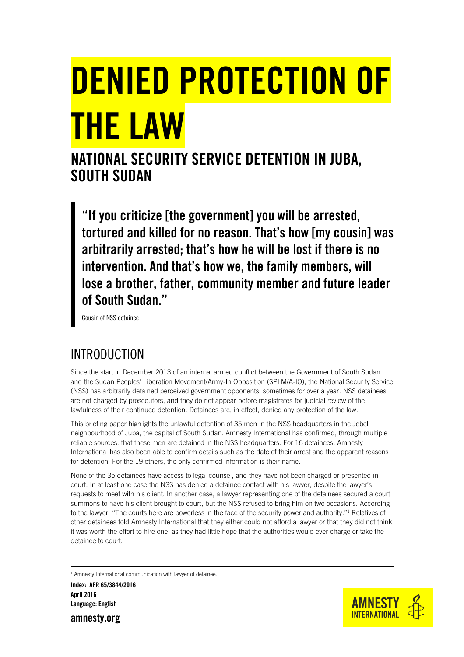# **DENIED PROTECTION OF THE LAW**

## **NATIONAL SECURITY SERVICE DETENTION IN JUBA, SOUTH SUDAN**

**"If you criticize [the government] you will be arrested, tortured and killed for no reason. That's how [my cousin] was arbitrarily arrested; that's how he will be lost if there is no intervention. And that's how we, the family members, will lose a brother, father, community member and future leader of South Sudan."**

Cousin of NSS detainee

## INTRODUCTION

Since the start in December 2013 of an internal armed conflict between the Government of South Sudan and the Sudan Peoples' Liberation Movement/Army-In Opposition (SPLM/A-IO), the National Security Service (NSS) has arbitrarily detained perceived government opponents, sometimes for over a year. NSS detainees are not charged by prosecutors, and they do not appear before magistrates for judicial review of the lawfulness of their continued detention. Detainees are, in effect, denied any protection of the law.

This briefing paper highlights the unlawful detention of 35 men in the NSS headquarters in the Jebel neighbourhood of Juba, the capital of South Sudan. Amnesty International has confirmed, through multiple reliable sources, that these men are detained in the NSS headquarters. For 16 detainees, Amnesty International has also been able to confirm details such as the date of their arrest and the apparent reasons for detention. For the 19 others, the only confirmed information is their name.

None of the 35 detainees have access to legal counsel, and they have not been charged or presented in court. In at least one case the NSS has denied a detainee contact with his lawyer, despite the lawyer's requests to meet with his client. In another case, a lawyer representing one of the detainees secured a court summons to have his client brought to court, but the NSS refused to bring him on two occasions. According to the lawyer, "The courts here are powerless in the face of the security power and authority."<sup>1</sup> Relatives of other detainees told Amnesty International that they either could not afford a lawyer or that they did not think it was worth the effort to hire one, as they had little hope that the authorities would ever charge or take the detainee to court.

<sup>1</sup> Amnesty International communication with lawyer of detainee.

**Index: AFR 65/3844/2016 April 2016 Language: English**

**amnesty.org**

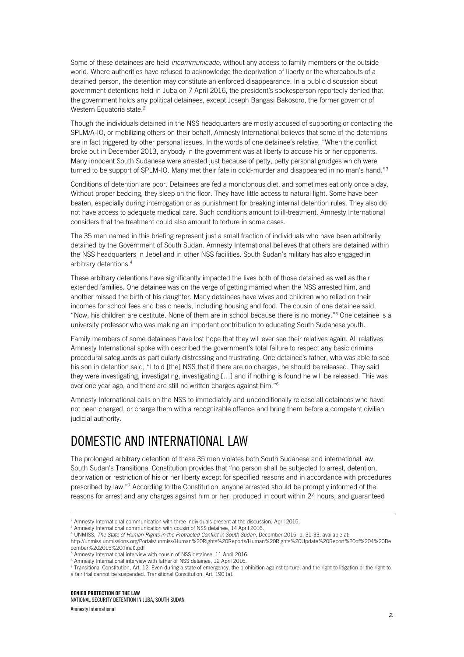Some of these detainees are held *incommunicado*, without any access to family members or the outside world. Where authorities have refused to acknowledge the deprivation of liberty or the whereabouts of a detained person, the detention may constitute an enforced disappearance. In a public discussion about government detentions held in Juba on 7 April 2016, the president's spokesperson reportedly denied that the government holds any political detainees, except Joseph Bangasi Bakosoro, the former governor of Western Equatoria state.<sup>2</sup>

Though the individuals detained in the NSS headquarters are mostly accused of supporting or contacting the SPLM/A-IO, or mobilizing others on their behalf, Amnesty International believes that some of the detentions are in fact triggered by other personal issues. In the words of one detainee's relative, "When the conflict broke out in December 2013, anybody in the government was at liberty to accuse his or her opponents. Many innocent South Sudanese were arrested just because of petty, petty personal grudges which were turned to be support of SPLM-IO. Many met their fate in cold-murder and disappeared in no man's hand."<sup>3</sup>

Conditions of detention are poor. Detainees are fed a monotonous diet, and sometimes eat only once a day. Without proper bedding, they sleep on the floor. They have little access to natural light. Some have been beaten, especially during interrogation or as punishment for breaking internal detention rules. They also do not have access to adequate medical care. Such conditions amount to ill-treatment. Amnesty International considers that the treatment could also amount to torture in some cases.

The 35 men named in this briefing represent just a small fraction of individuals who have been arbitrarily detained by the Government of South Sudan. Amnesty International believes that others are detained within the NSS headquarters in Jebel and in other NSS facilities. South Sudan's military has also engaged in arbitrary detentions.<sup>4</sup>

These arbitrary detentions have significantly impacted the lives both of those detained as well as their extended families. One detainee was on the verge of getting married when the NSS arrested him, and another missed the birth of his daughter. Many detainees have wives and children who relied on their incomes for school fees and basic needs, including housing and food. The cousin of one detainee said, "Now, his children are destitute. None of them are in school because there is no money."<sup>5</sup> One detainee is a university professor who was making an important contribution to educating South Sudanese youth.

Family members of some detainees have lost hope that they will ever see their relatives again. All relatives Amnesty International spoke with described the government's total failure to respect any basic criminal procedural safeguards as particularly distressing and frustrating. One detainee's father, who was able to see his son in detention said, "I told [the] NSS that if there are no charges, he should be released. They said they were investigating, investigating, investigating […] and if nothing is found he will be released. This was over one year ago, and there are still no written charges against him."<sup>6</sup>

Amnesty International calls on the NSS to immediately and unconditionally release all detainees who have not been charged, or charge them with a recognizable offence and bring them before a competent civilian judicial authority.

### DOMESTIC AND INTERNATIONAL LAW

The prolonged arbitrary detention of these 35 men violates both South Sudanese and international law. South Sudan's Transitional Constitution provides that "no person shall be subjected to arrest, detention, deprivation or restriction of his or her liberty except for specified reasons and in accordance with procedures prescribed by law."<sup>7</sup> According to the Constitution, anyone arrested should be promptly informed of the reasons for arrest and any charges against him or her, produced in court within 24 hours, and guaranteed

<sup>&</sup>lt;sup>2</sup> Amnesty International communication with three individuals present at the discussion, April 2015.

<sup>&</sup>lt;sup>3</sup> Amnesty International communication with cousin of NSS detainee, 14 April 2016.

<sup>4</sup> UNMISS, *The State of Human Rights in the Protracted Conflict in South Sudan*, December 2015, p. 31-33, available at:

[http://unmiss.unmissions.org/Portals/unmiss/Human%20Rights%20Reports/Human%20Rights%20Update%20Report%20of%204%20De](http://unmiss.unmissions.org/Portals/unmiss/Human%20Rights%20Reports/Human%20Rights%20Update%20Report%20of%204%20December%202015%20(final).pdf) [cember%202015%20\(final\).pdf](http://unmiss.unmissions.org/Portals/unmiss/Human%20Rights%20Reports/Human%20Rights%20Update%20Report%20of%204%20December%202015%20(final).pdf)

<sup>5</sup> Amnesty International interview with cousin of NSS detainee, 11 April 2016.

<sup>6</sup> Amnesty International interview with father of NSS detainee, 12 April 2016.

<sup>7</sup> Transitional Constitution, Art. 12. Even during a state of emergency, the prohibition against torture, and the right to litigation or the right to a fair trial cannot be suspended. Transitional Constitution, Art. 190 (a).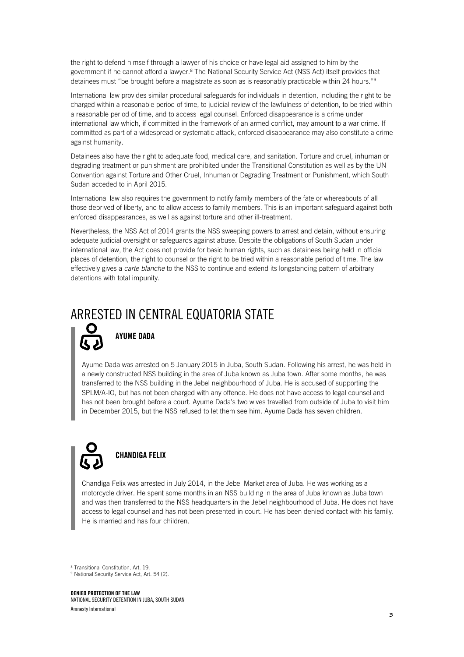the right to defend himself through a lawyer of his choice or have legal aid assigned to him by the government if he cannot afford a lawyer.<sup>8</sup> The National Security Service Act (NSS Act) itself provides that detainees must "be brought before a magistrate as soon as is reasonably practicable within 24 hours."<sup>9</sup>

International law provides similar procedural safeguards for individuals in detention, including the right to be charged within a reasonable period of time, to judicial review of the lawfulness of detention, to be tried within a reasonable period of time, and to access legal counsel. Enforced disappearance is a crime under international law which, if committed in the framework of an armed conflict, may amount to a war crime. If committed as part of a widespread or systematic attack, enforced disappearance may also constitute a crime against humanity.

Detainees also have the right to adequate food, medical care, and sanitation. Torture and cruel, inhuman or degrading treatment or punishment are prohibited under the Transitional Constitution as well as by the UN Convention against Torture and Other Cruel, Inhuman or Degrading Treatment or Punishment, which South Sudan acceded to in April 2015.

International law also requires the government to notify family members of the fate or whereabouts of all those deprived of liberty, and to allow access to family members. This is an important safeguard against both enforced disappearances, as well as against torture and other ill-treatment.

Nevertheless, the NSS Act of 2014 grants the NSS sweeping powers to arrest and detain, without ensuring adequate judicial oversight or safeguards against abuse. Despite the obligations of South Sudan under international law, the Act does not provide for basic human rights, such as detainees being held in official places of detention, the right to counsel or the right to be tried within a reasonable period of time. The law effectively gives a *carte blanche* to the NSS to continue and extend its longstanding pattern of arbitrary detentions with total impunity.

### ARRESTED IN CENTRAL EQUATORIA STATE



### **AYUME DADA**

Ayume Dada was arrested on 5 January 2015 in Juba, South Sudan. Following his arrest, he was held in a newly constructed NSS building in the area of Juba known as Juba town. After some months, he was transferred to the NSS building in the Jebel neighbourhood of Juba. He is accused of supporting the SPLM/A-IO, but has not been charged with any offence. He does not have access to legal counsel and has not been brought before a court. Ayume Dada's two wives travelled from outside of Juba to visit him in December 2015, but the NSS refused to let them see him. Ayume Dada has seven children.



ł

### **CHANDIGA FELIX**

Chandiga Felix was arrested in July 2014, in the Jebel Market area of Juba. He was working as a motorcycle driver. He spent some months in an NSS building in the area of Juba known as Juba town and was then transferred to the NSS headquarters in the Jebel neighbourhood of Juba. He does not have access to legal counsel and has not been presented in court. He has been denied contact with his family. He is married and has four children.

<sup>8</sup> Transitional Constitution, Art. 19.

<sup>&</sup>lt;sup>9</sup> National Security Service Act, Art. 54 (2).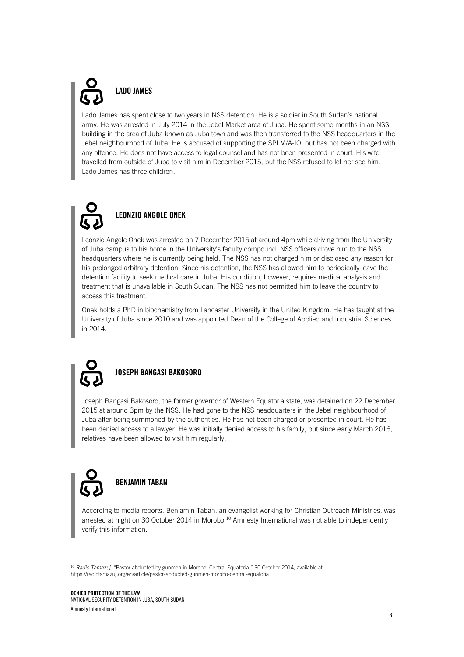## **LADO JAMES**

Lado James has spent close to two years in NSS detention. He is a soldier in South Sudan's national army. He was arrested in July 2014 in the Jebel Market area of Juba. He spent some months in an NSS building in the area of Juba known as Juba town and was then transferred to the NSS headquarters in the Jebel neighbourhood of Juba. He is accused of supporting the SPLM/A-IO, but has not been charged with any offence. He does not have access to legal counsel and has not been presented in court. His wife travelled from outside of Juba to visit him in December 2015, but the NSS refused to let her see him. Lado James has three children.

## **LEONZIO ANGOLE ONEK**

Leonzio Angole Onek was arrested on 7 December 2015 at around 4pm while driving from the University of Juba campus to his home in the University's faculty compound. NSS officers drove him to the NSS headquarters where he is currently being held. The NSS has not charged him or disclosed any reason for his prolonged arbitrary detention. Since his detention, the NSS has allowed him to periodically leave the detention facility to seek medical care in Juba. His condition, however, requires medical analysis and treatment that is unavailable in South Sudan. The NSS has not permitted him to leave the country to access this treatment.

Onek holds a PhD in biochemistry from Lancaster University in the United Kingdom. He has taught at the University of Juba since 2010 and was appointed Dean of the College of Applied and Industrial Sciences in 2014.



ł

#### **JOSEPH BANGASI BAKOSORO**

Joseph Bangasi Bakosoro, the former governor of Western Equatoria state, was detained on 22 December 2015 at around 3pm by the NSS. He had gone to the NSS headquarters in the Jebel neighbourhood of Juba after being summoned by the authorities. He has not been charged or presented in court. He has been denied access to a lawyer. He was initially denied access to his family, but since early March 2016, relatives have been allowed to visit him regularly.



According to media reports, Benjamin Taban, an evangelist working for Christian Outreach Ministries, was arrested at night on 30 October 2014 in Morobo.<sup>10</sup> Amnesty International was not able to independently verify this information.

<sup>10</sup> Radio Tamazuj, "Pastor abducted by gunmen in Morobo, Central Equatoria," 30 October 2014, available at https://radiotamazuj.org/en/article/pastor-abducted-gunmen-morobo-central-equatoria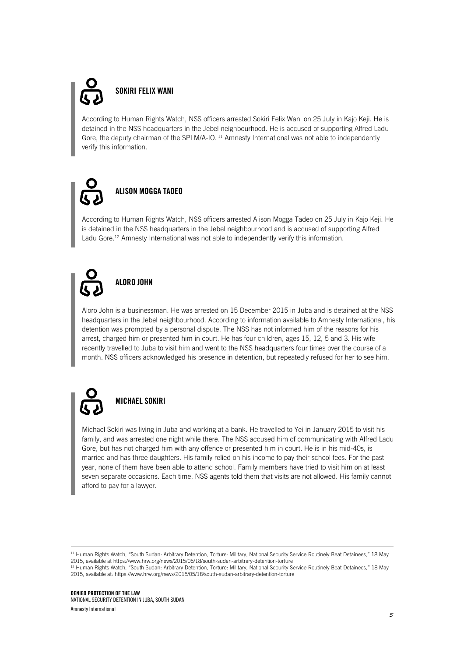## **SOKIRI FELIX WANI**

According to Human Rights Watch, NSS officers arrested Sokiri Felix Wani on 25 July in Kajo Keji. He is detained in the NSS headquarters in the Jebel neighbourhood. He is accused of supporting Alfred Ladu Gore, the deputy chairman of the SPLM/A-IO.<sup>11</sup> Amnesty International was not able to independently verify this information.



### **ALISON MOGGA TADEO**

According to Human Rights Watch, NSS officers arrested Alison Mogga Tadeo on 25 July in Kajo Keji. He is detained in the NSS headquarters in the Jebel neighbourhood and is accused of supporting Alfred Ladu Gore.<sup>12</sup> Amnesty International was not able to independently verify this information.

## **ALORO JOHN**

Aloro John is a businessman. He was arrested on 15 December 2015 in Juba and is detained at the NSS headquarters in the Jebel neighbourhood. According to information available to Amnesty International, his detention was prompted by a personal dispute. The NSS has not informed him of the reasons for his arrest, charged him or presented him in court. He has four children, ages 15, 12, 5 and 3. His wife recently travelled to Juba to visit him and went to the NSS headquarters four times over the course of a month. NSS officers acknowledged his presence in detention, but repeatedly refused for her to see him.



ł

### **MICHAEL SOKIRI**

Michael Sokiri was living in Juba and working at a bank. He travelled to Yei in January 2015 to visit his family, and was arrested one night while there. The NSS accused him of communicating with Alfred Ladu Gore, but has not charged him with any offence or presented him in court. He is in his mid-40s, is married and has three daughters. His family relied on his income to pay their school fees. For the past year, none of them have been able to attend school. Family members have tried to visit him on at least seven separate occasions. Each time, NSS agents told them that visits are not allowed. His family cannot afford to pay for a lawyer.

<sup>11</sup> Human Rights Watch, "South Sudan: Arbitrary Detention, Torture: Military, National Security Service Routinely Beat Detainees," 18 May 2015, available at https://www.hrw.org/news/2015/05/18/south-sudan-arbitrary-detention-torture

<sup>&</sup>lt;sup>12</sup> Human Rights Watch, "South Sudan: Arbitrary Detention, Torture: Military, National Security Service Routinely Beat Detainees," 18 May 2015, available at: https://www.hrw.org/news/2015/05/18/south-sudan-arbitrary-detention-torture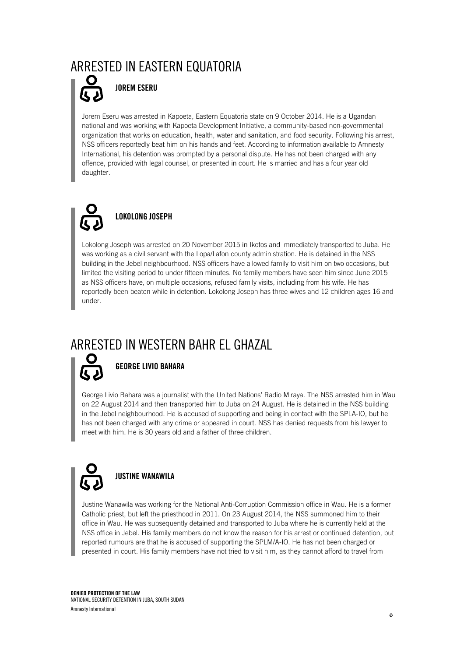### ARRESTED IN EASTERN EQUATORIA



#### **JOREM ESERU**

Jorem Eseru was arrested in Kapoeta, Eastern Equatoria state on 9 October 2014. He is a Ugandan national and was working with Kapoeta Development Initiative, a community-based non-governmental organization that works on education, health, water and sanitation, and food security. Following his arrest, NSS officers reportedly beat him on his hands and feet. According to information available to Amnesty International, his detention was prompted by a personal dispute. He has not been charged with any offence, provided with legal counsel, or presented in court. He is married and has a four year old daughter.



### **LOKOLONG JOSEPH**

Lokolong Joseph was arrested on 20 November 2015 in Ikotos and immediately transported to Juba. He was working as a civil servant with the Lopa/Lafon county administration. He is detained in the NSS building in the Jebel neighbourhood. NSS officers have allowed family to visit him on two occasions, but limited the visiting period to under fifteen minutes. No family members have seen him since June 2015 as NSS officers have, on multiple occasions, refused family visits, including from his wife. He has reportedly been beaten while in detention. Lokolong Joseph has three wives and 12 children ages 16 and under.

## ARRESTED IN WESTERN BAHR EL GHAZAL



#### **GEORGE LIVIO BAHARA**

George Livio Bahara was a journalist with the United Nations' Radio Miraya. The NSS arrested him in Wau on 22 August 2014 and then transported him to Juba on 24 August. He is detained in the NSS building in the Jebel neighbourhood. He is accused of supporting and being in contact with the SPLA-IO, but he has not been charged with any crime or appeared in court. NSS has denied requests from his lawyer to meet with him. He is 30 years old and a father of three children.



Justine Wanawila was working for the National Anti-Corruption Commission office in Wau. He is a former Catholic priest, but left the priesthood in 2011. On 23 August 2014, the NSS summoned him to their office in Wau. He was subsequently detained and transported to Juba where he is currently held at the NSS office in Jebel. His family members do not know the reason for his arrest or continued detention, but reported rumours are that he is accused of supporting the SPLM/A-IO. He has not been charged or presented in court. His family members have not tried to visit him, as they cannot afford to travel from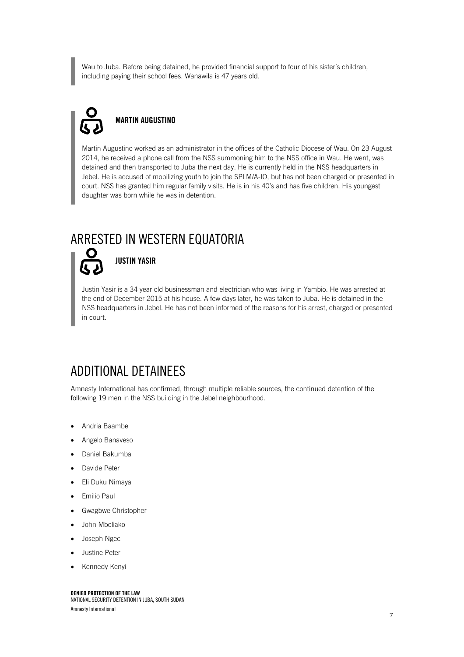Wau to Juba. Before being detained, he provided financial support to four of his sister's children, including paying their school fees. Wanawila is 47 years old.

## **MARTIN AUGUSTINO**

Martin Augustino worked as an administrator in the offices of the Catholic Diocese of Wau. On 23 August 2014, he received a phone call from the NSS summoning him to the NSS office in Wau. He went, was detained and then transported to Juba the next day. He is currently held in the NSS headquarters in Jebel. He is accused of mobilizing youth to join the SPLM/A-IO, but has not been charged or presented in court. NSS has granted him regular family visits. He is in his 40's and has five children. His youngest daughter was born while he was in detention.

### ARRESTED IN WESTERN EQUATORIA



**JUSTIN YASIR**

Justin Yasir is a 34 year old businessman and electrician who was living in Yambio. He was arrested at the end of December 2015 at his house. A few days later, he was taken to Juba. He is detained in the NSS headquarters in Jebel. He has not been informed of the reasons for his arrest, charged or presented in court.

## ADDITIONAL DETAINEES

Amnesty International has confirmed, through multiple reliable sources, the continued detention of the following 19 men in the NSS building in the Jebel neighbourhood.

- Andria Baambe
- Angelo Banaveso
- Daniel Bakumba
- Davide Peter
- Eli Duku Nimaya
- Emilio Paul
- Gwagbwe Christopher
- John Mboliako
- Joseph Ngec
- Justine Peter
- Kennedy Kenyi

**DENIED PROTECTION OF THE LAW** NATIONAL SECURITY DETENTION IN JUBA, SOUTH SUDAN Amnesty International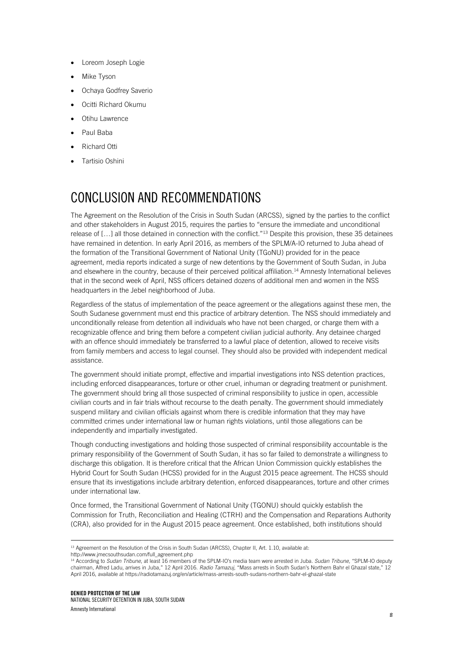- Loreom Joseph Logie
- Mike Tyson
- Ochaya Godfrey Saverio
- Ocitti Richard Okumu
- Otihu Lawrence
- Paul Baba
- Richard Otti
- Tartisio Oshini

## CONCLUSION AND RECOMMENDATIONS

The Agreement on the Resolution of the Crisis in South Sudan (ARCSS), signed by the parties to the conflict and other stakeholders in August 2015, requires the parties to "ensure the immediate and unconditional release of […] all those detained in connection with the conflict."<sup>13</sup> Despite this provision, these 35 detainees have remained in detention. In early April 2016, as members of the SPLM/A-IO returned to Juba ahead of the formation of the Transitional Government of National Unity (TGoNU) provided for in the peace agreement, media reports indicated a surge of new detentions by the Government of South Sudan, in Juba and elsewhere in the country, because of their perceived political affiliation. <sup>14</sup> Amnesty International believes that in the second week of April, NSS officers detained dozens of additional men and women in the NSS headquarters in the Jebel neighborhood of Juba.

Regardless of the status of implementation of the peace agreement or the allegations against these men, the South Sudanese government must end this practice of arbitrary detention. The NSS should immediately and unconditionally release from detention all individuals who have not been charged, or charge them with a recognizable offence and bring them before a competent civilian judicial authority. Any detainee charged with an offence should immediately be transferred to a lawful place of detention, allowed to receive visits from family members and access to legal counsel. They should also be provided with independent medical assistance.

The government should initiate prompt, effective and impartial investigations into NSS detention practices, including enforced disappearances, torture or other cruel, inhuman or degrading treatment or punishment. The government should bring all those suspected of criminal responsibility to justice in open, accessible civilian courts and in fair trials without recourse to the death penalty. The government should immediately suspend military and civilian officials against whom there is credible information that they may have committed crimes under international law or human rights violations, until those allegations can be independently and impartially investigated.

Though conducting investigations and holding those suspected of criminal responsibility accountable is the primary responsibility of the Government of South Sudan, it has so far failed to demonstrate a willingness to discharge this obligation. It is therefore critical that the African Union Commission quickly establishes the Hybrid Court for South Sudan (HCSS) provided for in the August 2015 peace agreement. The HCSS should ensure that its investigations include arbitrary detention, enforced disappearances, torture and other crimes under international law.

Once formed, the Transitional Government of National Unity (TGONU) should quickly establish the Commission for Truth, Reconciliation and Healing (CTRH) and the Compensation and Reparations Authority (CRA), also provided for in the August 2015 peace agreement. Once established, both institutions should

http://www.imecsouthsudan.com/full\_agreement.php

<sup>&</sup>lt;sup>13</sup> Agreement on the Resolution of the Crisis in South Sudan (ARCSS), Chapter II, Art. 1.10, available at:

<sup>14</sup> According to *Sudan Tribune*, at least 16 members of the SPLM-IO's media team were arrested in Juba. *Sudan Tribune,* "SPLM-IO deputy chairman, Alfred Ladu, arrives in Juba," 12 April 2016. *Radio Tamazuj*, "Mass arrests in South Sudan's Northern Bahr el Ghazal state," 12 April 2016, available at https://radiotamazuj.org/en/article/mass-arrests-south-sudans-northern-bahr-el-ghazal-state